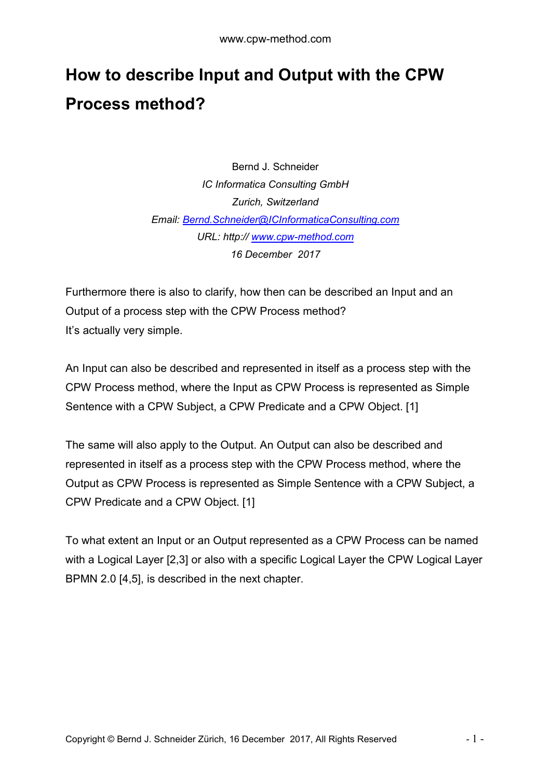## **How to describe Input and Output with the CPW Process method?**

Bernd J. Schneider *IC Informatica Consulting GmbH Zurich, Switzerland Email: [Bernd.Schneider@ICInformaticaConsulting.com](mailto:Bernd.Schneider@ICInformaticaConsulting.com) URL: http:// [www.cpw-method.com](http://www.cpw-method.com/) 16 December 2017*

Furthermore there is also to clarify, how then can be described an Input and an Output of a process step with the CPW Process method? It's actually very simple.

An Input can also be described and represented in itself as a process step with the CPW Process method, where the Input as CPW Process is represented as Simple Sentence with a CPW Subject, a CPW Predicate and a CPW Object. [1]

The same will also apply to the Output. An Output can also be described and represented in itself as a process step with the CPW Process method, where the Output as CPW Process is represented as Simple Sentence with a CPW Subject, a CPW Predicate and a CPW Object. [1]

To what extent an Input or an Output represented as a CPW Process can be named with a Logical Layer [2,3] or also with a specific Logical Layer the CPW Logical Layer BPMN 2.0 [4,5], is described in the next chapter.